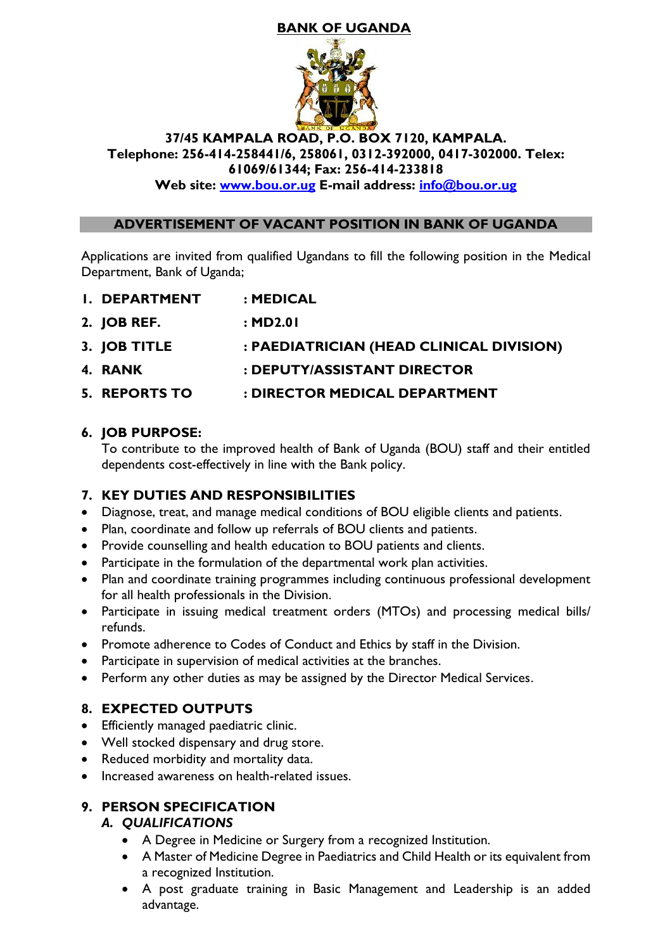# **BANK OF UGANDA**



#### **37/45 KAMPALA ROAD, P.O. BOX 7120, KAMPALA. Telephone: 256-414-258441/6, 258061, 0312-392000, 0417-302000. Telex: 61069/61344; Fax: 256-414-233818**

**Web site: [www.bou.or.ug](http://www.bou.or.ug/) E-mail address: [info@bou.or.ug](mailto:info@bou.or.ug)**

### **ADVERTISEMENT OF VACANT POSITION IN BANK OF UGANDA**

Applications are invited from qualified Ugandans to fill the following position in the Medical Department, Bank of Uganda;

- **1. DEPARTMENT : MEDICAL**
- **2. JOB REF. : MD2.01**
- **3. JOB TITLE : PAEDIATRICIAN (HEAD CLINICAL DIVISION)**
- **4. RANK : DEPUTY/ASSISTANT DIRECTOR**
- **5. REPORTS TO : DIRECTOR MEDICAL DEPARTMENT**

### **6. JOB PURPOSE:**

To contribute to the improved health of Bank of Uganda (BOU) staff and their entitled dependents cost-effectively in line with the Bank policy.

## **7. KEY DUTIES AND RESPONSIBILITIES**

- Diagnose, treat, and manage medical conditions of BOU eligible clients and patients.
- Plan, coordinate and follow up referrals of BOU clients and patients.
- Provide counselling and health education to BOU patients and clients.
- Participate in the formulation of the departmental work plan activities.
- Plan and coordinate training programmes including continuous professional development for all health professionals in the Division.
- Participate in issuing medical treatment orders (MTOs) and processing medical bills/ refunds.
- Promote adherence to Codes of Conduct and Ethics by staff in the Division.
- Participate in supervision of medical activities at the branches.
- Perform any other duties as may be assigned by the Director Medical Services.

## **8. EXPECTED OUTPUTS**

- Efficiently managed paediatric clinic.
- Well stocked dispensary and drug store.
- Reduced morbidity and mortality data.
- Increased awareness on health-related issues.

## **9. PERSON SPECIFICATION**

#### *A. QUALIFICATIONS*

- A Degree in Medicine or Surgery from a recognized Institution.
- A Master of Medicine Degree in Paediatrics and Child Health or its equivalent from a recognized Institution.
- A post graduate training in Basic Management and Leadership is an added advantage.